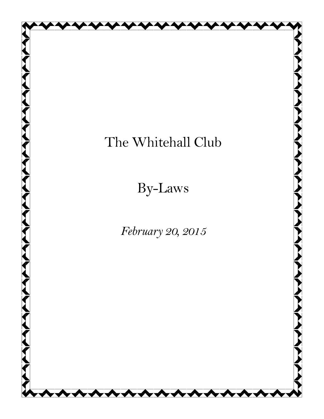# The Whitehall Club

By-Laws

*February 20, 2015*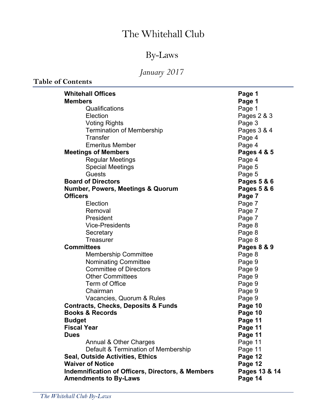# The Whitehall Club

# By-Laws

# *January 2017*

**Table of Contents**

| <b>Whitehall Offices</b>                                     | Page 1        |
|--------------------------------------------------------------|---------------|
| <b>Members</b>                                               | Page 1        |
| Qualifications                                               | Page 1        |
| Election                                                     | Pages 2 & 3   |
| <b>Voting Rights</b>                                         | Page 3        |
| <b>Termination of Membership</b>                             | Pages 3 & 4   |
| Transfer                                                     | Page 4        |
| <b>Emeritus Member</b>                                       | Page 4        |
| <b>Meetings of Members</b>                                   | Pages 4 & 5   |
| <b>Regular Meetings</b>                                      | Page 4        |
| <b>Special Meetings</b>                                      | Page 5        |
| <b>Guests</b>                                                | Page 5        |
| <b>Board of Directors</b>                                    | Pages 5 & 6   |
| <b>Number, Powers, Meetings &amp; Quorum</b>                 | Pages 5 & 6   |
| <b>Officers</b>                                              | Page 7        |
| Election                                                     | Page 7        |
| Removal                                                      | Page 7        |
| President                                                    | Page 7        |
| <b>Vice-Presidents</b>                                       | Page 8        |
| Secretary                                                    | Page 8        |
| Treasurer                                                    | Page 8        |
| <b>Committees</b>                                            | Pages 8 & 9   |
| <b>Membership Committee</b>                                  | Page 8        |
| <b>Nominating Committee</b>                                  | Page 9        |
| <b>Committee of Directors</b>                                | Page 9        |
| <b>Other Committees</b>                                      | Page 9        |
| Term of Office                                               | Page 9        |
| Chairman                                                     | Page 9        |
| Vacancies, Quorum & Rules                                    | Page 9        |
| <b>Contracts, Checks, Deposits &amp; Funds</b>               | Page 10       |
| <b>Books &amp; Records</b>                                   | Page 10       |
| <b>Budget</b>                                                | Page 11       |
| <b>Fiscal Year</b>                                           | Page 11       |
| <b>Dues</b>                                                  | Page 11       |
| Annual & Other Charges                                       | Page 11       |
| Default & Termination of Membership                          | Page 11       |
| <b>Seal, Outside Activities, Ethics</b>                      | Page 12       |
| <b>Waiver of Notice</b>                                      | Page 12       |
| <b>Indemnification of Officers, Directors, &amp; Members</b> | Pages 13 & 14 |
| <b>Amendments to By-Laws</b>                                 | Page 14       |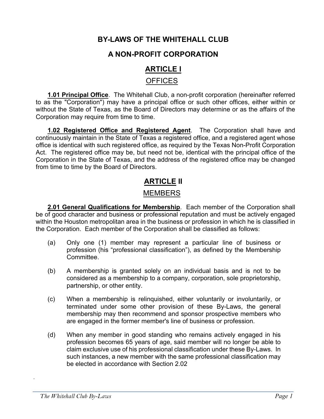## **BY-LAWS OF THE WHITEHALL CLUB**

## **A NON-PROFIT CORPORATION**

## **ARTICLE I** OFFICES

**1.01 Principal Office**. The Whitehall Club, a non-profit corporation (hereinafter referred to as the "Corporation") may have a principal office or such other offices, either within or without the State of Texas, as the Board of Directors may determine or as the affairs of the Corporation may require from time to time.

**1.02 Registered Office and Registered Agent**. The Corporation shall have and continuously maintain in the State of Texas a registered office, and a registered agent whose office is identical with such registered office, as required by the Texas Non-Profit Corporation Act. The registered office may be, but need not be, identical with the principal office of the Corporation in the State of Texas, and the address of the registered office may be changed from time to time by the Board of Directors.

## **ARTICLE II**

### MEMBERS

**2.01 General Qualifications for Membership**. Each member of the Corporation shall be of good character and business or professional reputation and must be actively engaged within the Houston metropolitan area in the business or profession in which he is classified in the Corporation. Each member of the Corporation shall be classified as follows:

- (a) Only one (1) member may represent a particular line of business or profession (his "professional classification"), as defined by the Membership **Committee.**
- (b) A membership is granted solely on an individual basis and is not to be considered as a membership to a company, corporation, sole proprietorship, partnership, or other entity.
- (c) When a membership is relinquished, either voluntarily or involuntarily, or terminated under some other provision of these By-Laws, the general membership may then recommend and sponsor prospective members who are engaged in the former member's line of business or profession.
- (d) When any member in good standing who remains actively engaged in his profession becomes 65 years of age, said member will no longer be able to claim exclusive use of his professional classification under these By-Laws. In such instances, a new member with the same professional classification may be elected in accordance with Section 2.02

.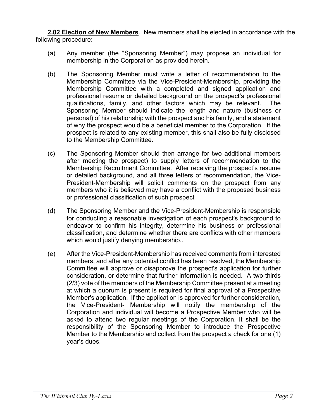**2.02 Election of New Members**. New members shall be elected in accordance with the following procedure:

- (a) Any member (the "Sponsoring Member") may propose an individual for membership in the Corporation as provided herein.
- (b) The Sponsoring Member must write a letter of recommendation to the Membership Committee via the Vice-President-Membership, providing the Membership Committee with a completed and signed application and professional resume or detailed background on the prospect's professional qualifications, family, and other factors which may be relevant. The Sponsoring Member should indicate the length and nature (business or personal) of his relationship with the prospect and his family, and a statement of why the prospect would be a beneficial member to the Corporation. If the prospect is related to any existing member, this shall also be fully disclosed to the Membership Committee.
- (c) The Sponsoring Member should then arrange for two additional members after meeting the prospect) to supply letters of recommendation to the Membership Recruitment Committee. After receiving the prospect's resume or detailed background, and all three letters of recommendation, the Vice-President-Membership will solicit comments on the prospect from any members who it is believed may have a conflict with the proposed business or professional classification of such prospect
- (d) The Sponsoring Member and the Vice-President-Membership is responsible for conducting a reasonable investigation of each prospect's background to endeavor to confirm his integrity, determine his business or professional classification, and determine whether there are conflicts with other members which would justify denying membership..
- (e) After the Vice-President-Membership has received comments from interested members, and after any potential conflict has been resolved, the Membership Committee will approve or disapprove the prospect's application for further consideration, or determine that further information is needed. A two-thirds (2/3) vote of the members of the Membership Committee present at a meeting at which a quorum is present is required for final approval of a Prospective Member's application. If the application is approved for further consideration, the Vice-President- Membership will notify the membership of the Corporation and individual will become a Prospective Member who will be asked to attend two regular meetings of the Corporation. It shall be the responsibility of the Sponsoring Member to introduce the Prospective Member to the Membership and collect from the prospect a check for one (1) year's dues.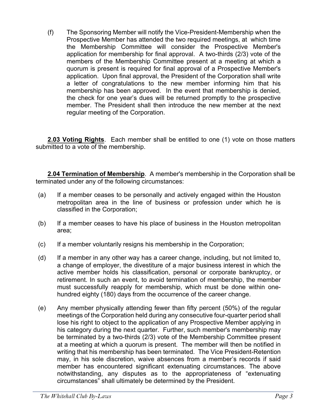(f) The Sponsoring Member will notify the Vice-President-Membership when the Prospective Member has attended the two required meetings, at which time the Membership Committee will consider the Prospective Member's application for membership for final approval. A two-thirds (2/3) vote of the members of the Membership Committee present at a meeting at which a quorum is present is required for final approval of a Prospective Member's application. Upon final approval, the President of the Corporation shall write a letter of congratulations to the new member informing him that his membership has been approved. In the event that membership is denied, the check for one year's dues will be returned promptly to the prospective member. The President shall then introduce the new member at the next regular meeting of the Corporation.

**2.03 Voting Rights**. Each member shall be entitled to one (1) vote on those matters submitted to a vote of the membership.

**2.04 Termination of Membership**. A member's membership in the Corporation shall be terminated under any of the following circumstances:

- (a) If a member ceases to be personally and actively engaged within the Houston metropolitan area in the line of business or profession under which he is classified in the Corporation;
- (b) If a member ceases to have his place of business in the Houston metropolitan area;
- (c) If a member voluntarily resigns his membership in the Corporation;
- (d) If a member in any other way has a career change, including, but not limited to, a change of employer, the divestiture of a major business interest in which the active member holds his classification, personal or corporate bankruptcy, or retirement. In such an event, to avoid termination of membership, the member must successfully reapply for membership, which must be done within onehundred eighty (180) days from the occurrence of the career change.
- (e) Any member physically attending fewer than fifty percent (50%) of the regular meetings of the Corporation held during any consecutive four-quarter period shall lose his right to object to the application of any Prospective Member applying in his category during the next quarter. Further, such member's membership may be terminated by a two-thirds (2/3) vote of the Membership Committee present at a meeting at which a quorum is present. The member will then be notified in writing that his membership has been terminated. The Vice President-Retention may, in his sole discretion, waive absences from a member's records if said member has encountered significant extenuating circumstances. The above notwithstanding, any disputes as to the appropriateness of "extenuating circumstances" shall ultimately be determined by the President.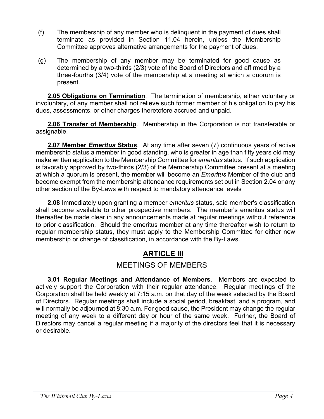- (f) The membership of any member who is delinquent in the payment of dues shall terminate as provided in Section 11.04 herein, unless the Membership Committee approves alternative arrangements for the payment of dues.
- (g) The membership of any member may be terminated for good cause as determined by a two-thirds (2/3) vote of the Board of Directors and affirmed by a three-fourths (3/4) vote of the membership at a meeting at which a quorum is present.

**2.05 Obligations on Termination**. The termination of membership, either voluntary or involuntary, of any member shall not relieve such former member of his obligation to pay his dues, assessments, or other charges theretofore accrued and unpaid.

**2.06 Transfer of Membership**. Membership in the Corporation is not transferable or assignable.

**2.07 Member** *Emeritus* **Status**. At any time after seven (7) continuous years of active membership status a member in good standing, who is greater in age than fifty years old may make written application to the Membership Committee for *emeritus* status. If such application is favorably approved by two-thirds (2/3) of the Membership Committee present at a meeting at which a quorum is present, the member will become an *Emeritus* Member of the club and become exempt from the membership attendance requirements set out in Section 2.04 or any other section of the By-Laws with respect to mandatory attendance levels

**2.08** Immediately upon granting a member *emeritus* status, said member's classification shall become available to other prospective members. The member's emeritus status will thereafter be made clear in any announcements made at regular meetings without reference to prior classification. Should the emeritus member at any time thereafter wish to return to regular membership status, they must apply to the Membership Committee for either new membership or change of classification, in accordance with the By-Laws.

## **ARTICLE III**

## MEETINGS OF MEMBERS

**3.01 Regular Meetings and Attendance of Members**. Members are expected to actively support the Corporation with their regular attendance. Regular meetings of the Corporation shall be held weekly at 7:15 a.m. on that day of the week selected by the Board of Directors. Regular meetings shall include a social period, breakfast, and a program, and will normally be adjourned at 8:30 a.m. For good cause, the President may change the regular meeting of any week to a different day or hour of the same week. Further, the Board of Directors may cancel a regular meeting if a majority of the directors feel that it is necessary or desirable.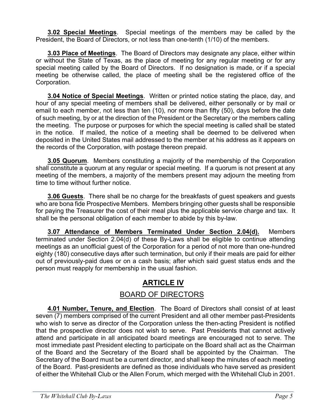**3.02 Special Meetings**. Special meetings of the members may be called by the President, the Board of Directors, or not less than one-tenth (1/10) of the members.

**3.03 Place of Meetings**. The Board of Directors may designate any place, either within or without the State of Texas, as the place of meeting for any regular meeting or for any special meeting called by the Board of Directors. If no designation is made, or if a special meeting be otherwise called, the place of meeting shall be the registered office of the Corporation.

**3.04 Notice of Special Meetings**. Written or printed notice stating the place, day, and hour of any special meeting of members shall be delivered, either personally or by mail or email to each member, not less than ten (10), nor more than fifty (50), days before the date of such meeting, by or at the direction of the President or the Secretary or the members calling the meeting. The purpose or purposes for which the special meeting is called shall be stated in the notice. If mailed, the notice of a meeting shall be deemed to be delivered when deposited in the United States mail addressed to the member at his address as it appears on the records of the Corporation, with postage thereon prepaid.

**3.05 Quorum**. Members constituting a majority of the membership of the Corporation shall constitute a quorum at any regular or special meeting. If a quorum is not present at any meeting of the members, a majority of the members present may adjourn the meeting from time to time without further notice.

**3.06 Guests**. There shall be no charge for the breakfasts of guest speakers and guests who are bona fide Prospective Members. Members bringing other guests shall be responsible for paying the Treasurer the cost of their meal plus the applicable service charge and tax. It shall be the personal obligation of each member to abide by this by-law.

**3.07 Attendance of Members Terminated Under Section 2.04(d).** Members terminated under Section 2.04(d) of these By-Laws shall be eligible to continue attending meetings as an unofficial guest of the Corporation for a period of not more than one-hundred eighty (180) consecutive days after such termination, but only if their meals are paid for either out of previously-paid dues or on a cash basis; after which said guest status ends and the person must reapply for membership in the usual fashion.

## **ARTICLE IV**

## BOARD OF DIRECTORS

**4.01 Number, Tenure, and Election**. The Board of Directors shall consist of at least seven (7) members comprised of the current President and all other member past-Presidents who wish to serve as director of the Corporation unless the then-acting President is notified that the prospective director does not wish to serve. Past Presidents that cannot actively attend and participate in all anticipated board meetings are encouraged not to serve. The most immediate past President electing to participate on the Board shall act as the Chairman of the Board and the Secretary of the Board shall be appointed by the Chairman. The Secretary of the Board must be a current director, and shall keep the minutes of each meeting of the Board. Past-presidents are defined as those individuals who have served as president of either the Whitehall Club or the Allen Forum, which merged with the Whitehall Club in 2001.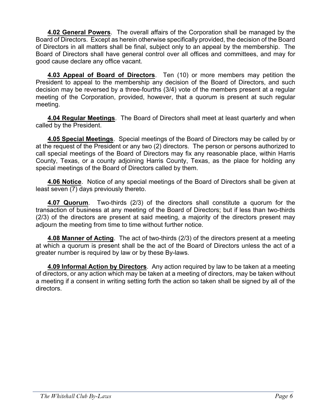**4.02 General Powers**. The overall affairs of the Corporation shall be managed by the Board of Directors. Except as herein otherwise specifically provided, the decision of the Board of Directors in all matters shall be final, subject only to an appeal by the membership. The Board of Directors shall have general control over all offices and committees, and may for good cause declare any office vacant.

**4.03 Appeal of Board of Directors**. Ten (10) or more members may petition the President to appeal to the membership any decision of the Board of Directors, and such decision may be reversed by a three-fourths (3/4) vote of the members present at a regular meeting of the Corporation, provided, however, that a quorum is present at such regular meeting.

**4.04 Regular Meetings**. The Board of Directors shall meet at least quarterly and when called by the President.

**4.05 Special Meetings**. Special meetings of the Board of Directors may be called by or at the request of the President or any two (2) directors. The person or persons authorized to call special meetings of the Board of Directors may fix any reasonable place, within Harris County, Texas, or a county adjoining Harris County, Texas, as the place for holding any special meetings of the Board of Directors called by them.

**4.06 Notice**. Notice of any special meetings of the Board of Directors shall be given at least seven (7) days previously thereto.

**4.07 Quorum**. Two-thirds (2/3) of the directors shall constitute a quorum for the transaction of business at any meeting of the Board of Directors; but if less than two-thirds (2/3) of the directors are present at said meeting, a majority of the directors present may adjourn the meeting from time to time without further notice.

**4.08 Manner of Acting**. The act of two-thirds (2/3) of the directors present at a meeting at which a quorum is present shall be the act of the Board of Directors unless the act of a greater number is required by law or by these By-laws.

**4.09 Informal Action by Directors**. Any action required by law to be taken at a meeting of directors, or any action which may be taken at a meeting of directors, may be taken without a meeting if a consent in writing setting forth the action so taken shall be signed by all of the directors.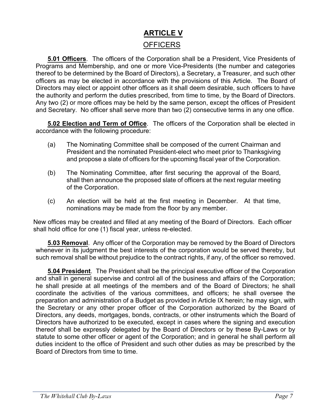## **ARTICLE V OFFICERS**

**5.01 Officers**. The officers of the Corporation shall be a President, Vice Presidents of Programs and Membership, and one or more Vice-Presidents (the number and categories thereof to be determined by the Board of Directors), a Secretary, a Treasurer, and such other officers as may be elected in accordance with the provisions of this Article. The Board of Directors may elect or appoint other officers as it shall deem desirable, such officers to have the authority and perform the duties prescribed, from time to time, by the Board of Directors. Any two (2) or more offices may be held by the same person, except the offices of President and Secretary. No officer shall serve more than two (2) consecutive terms in any one office.

**5.02 Election and Term of Office**. The officers of the Corporation shall be elected in accordance with the following procedure:

- (a) The Nominating Committee shall be composed of the current Chairman and President and the nominated President-elect who meet prior to Thanksgiving and propose a slate of officers for the upcoming fiscal year of the Corporation.
- (b) The Nominating Committee, after first securing the approval of the Board, shall then announce the proposed slate of officers at the next regular meeting of the Corporation.
- (c) An election will be held at the first meeting in December. At that time, nominations may be made from the floor by any member.

New offices may be created and filled at any meeting of the Board of Directors. Each officer shall hold office for one (1) fiscal year, unless re-elected.

**5.03 Removal**. Any officer of the Corporation may be removed by the Board of Directors whenever in its judgment the best interests of the corporation would be served thereby, but such removal shall be without prejudice to the contract rights, if any, of the officer so removed.

**5.04 President**. The President shall be the principal executive officer of the Corporation and shall in general supervise and control all of the business and affairs of the Corporation; he shall preside at all meetings of the members and of the Board of Directors; he shall coordinate the activities of the various committees, and officers; he shall oversee the preparation and administration of a Budget as provided in Article IX herein; he may sign, with the Secretary or any other proper officer of the Corporation authorized by the Board of Directors, any deeds, mortgages, bonds, contracts, or other instruments which the Board of Directors have authorized to be executed, except in cases where the signing and execution thereof shall be expressly delegated by the Board of Directors or by these By-Laws or by statute to some other officer or agent of the Corporation; and in general he shall perform all duties incident to the office of President and such other duties as may be prescribed by the Board of Directors from time to time.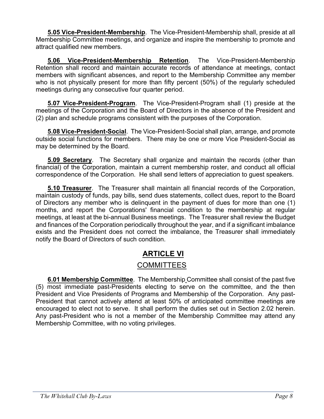**5.05 Vice-President-Membership**. The Vice-President-Membership shall, preside at all Membership Committee meetings, and organize and inspire the membership to promote and attract qualified new members.

**5.06 Vice-President-Membership Retention**. The Vice-President-Membership Retention shall record and maintain accurate records of attendance at meetings, contact members with significant absences, and report to the Membership Committee any member who is not physically present for more than fifty percent (50%) of the regularly scheduled meetings during any consecutive four quarter period.

**5.07 Vice-President-Program**. The Vice-President-Program shall (1) preside at the meetings of the Corporation and the Board of Directors in the absence of the President and (2) plan and schedule programs consistent with the purposes of the Corporation.

**5.08 Vice-President-Social**. The Vice-President-Social shall plan, arrange, and promote outside social functions for members. There may be one or more Vice President-Social as may be determined by the Board.

**5.09 Secretary**. The Secretary shall organize and maintain the records (other than financial) of the Corporation, maintain a current membership roster, and conduct all official correspondence of the Corporation. He shall send letters of appreciation to guest speakers.

**5.10 Treasurer**. The Treasurer shall maintain all financial records of the Corporation, maintain custody of funds, pay bills, send dues statements, collect dues, report to the Board of Directors any member who is delinquent in the payment of dues for more than one (1) months, and report the Corporations' financial condition to the membership at regular meetings, at least at the bi-annual Business meetings. The Treasurer shall review the Budget and finances of the Corporation periodically throughout the year, and if a significant imbalance exists and the President does not correct the imbalance, the Treasurer shall immediately notify the Board of Directors of such condition.

## **ARTICLE VI**

## COMMITTEES

**6.01 Membership Committee**. The Membership Committee shall consist of the past five (5) most immediate past-Presidents electing to serve on the committee, and the then President and Vice Presidents of Programs and Membership of the Corporation. Any past-President that cannot actively attend at least 50% of anticipated committee meetings are encouraged to elect not to serve. It shall perform the duties set out in Section 2.02 herein. Any past-President who is not a member of the Membership Committee may attend any Membership Committee, with no voting privileges.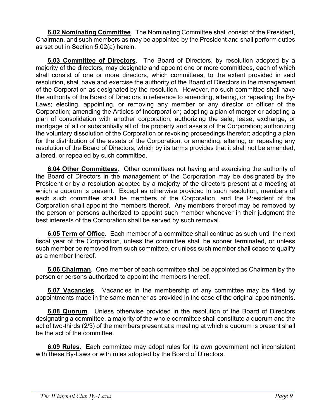**6.02 Nominating Committee**. The Nominating Committee shall consist of the President, Chairman, and such members as may be appointed by the President and shall perform duties as set out in Section 5.02(a) herein.

**6.03 Committee of Directors**. The Board of Directors, by resolution adopted by a majority of the directors, may designate and appoint one or more committees, each of which shall consist of one or more directors, which committees, to the extent provided in said resolution, shall have and exercise the authority of the Board of Directors in the management of the Corporation as designated by the resolution. However, no such committee shall have the authority of the Board of Directors in reference to amending, altering, or repealing the By-Laws; electing, appointing, or removing any member or any director or officer of the Corporation; amending the Articles of Incorporation; adopting a plan of merger or adopting a plan of consolidation with another corporation; authorizing the sale, lease, exchange, or mortgage of all or substantially all of the property and assets of the Corporation; authorizing the voluntary dissolution of the Corporation or revoking proceedings therefor; adopting a plan for the distribution of the assets of the Corporation, or amending, altering, or repealing any resolution of the Board of Directors, which by its terms provides that it shall not be amended, altered, or repealed by such committee.

**6.04 Other Committees**. Other committees not having and exercising the authority of the Board of Directors in the management of the Corporation may be designated by the President or by a resolution adopted by a majority of the directors present at a meeting at which a quorum is present. Except as otherwise provided in such resolution, members of each such committee shall be members of the Corporation, and the President of the Corporation shall appoint the members thereof. Any members thereof may be removed by the person or persons authorized to appoint such member whenever in their judgment the best interests of the Corporation shall be served by such removal.

**6.05 Term of Office**. Each member of a committee shall continue as such until the next fiscal year of the Corporation, unless the committee shall be sooner terminated, or unless such member be removed from such committee, or unless such member shall cease to qualify as a member thereof.

**6.06 Chairman**. One member of each committee shall be appointed as Chairman by the person or persons authorized to appoint the members thereof.

**6.07 Vacancies**. Vacancies in the membership of any committee may be filled by appointments made in the same manner as provided in the case of the original appointments.

**6.08 Quorum**. Unless otherwise provided in the resolution of the Board of Directors designating a committee, a majority of the whole committee shall constitute a quorum and the act of two-thirds (2/3) of the members present at a meeting at which a quorum is present shall be the act of the committee.

**6.09 Rules**. Each committee may adopt rules for its own government not inconsistent with these By-Laws or with rules adopted by the Board of Directors.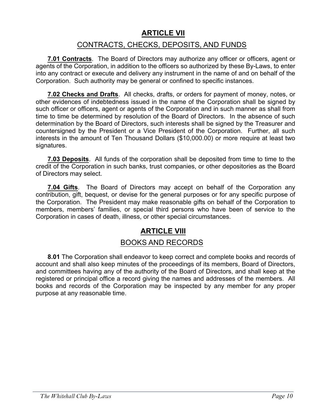## **ARTICLE VII**

## CONTRACTS, CHECKS, DEPOSITS, AND FUNDS

**7.01 Contracts**. The Board of Directors may authorize any officer or officers, agent or agents of the Corporation, in addition to the officers so authorized by these By-Laws, to enter into any contract or execute and delivery any instrument in the name of and on behalf of the Corporation. Such authority may be general or confined to specific instances.

**7.02 Checks and Drafts**. All checks, drafts, or orders for payment of money, notes, or other evidences of indebtedness issued in the name of the Corporation shall be signed by such officer or officers, agent or agents of the Corporation and in such manner as shall from time to time be determined by resolution of the Board of Directors. In the absence of such determination by the Board of Directors, such interests shall be signed by the Treasurer and countersigned by the President or a Vice President of the Corporation. Further, all such interests in the amount of Ten Thousand Dollars (\$10,000.00) or more require at least two signatures.

**7.03 Deposits**. All funds of the corporation shall be deposited from time to time to the credit of the Corporation in such banks, trust companies, or other depositories as the Board of Directors may select.

**7.04 Gifts**. The Board of Directors may accept on behalf of the Corporation any contribution, gift, bequest, or devise for the general purposes or for any specific purpose of the Corporation. The President may make reasonable gifts on behalf of the Corporation to members, members' families, or special third persons who have been of service to the Corporation in cases of death, illness, or other special circumstances.

## **ARTICLE VIII**

### BOOKS AND RECORDS

**8.01** The Corporation shall endeavor to keep correct and complete books and records of account and shall also keep minutes of the proceedings of its members, Board of Directors, and committees having any of the authority of the Board of Directors, and shall keep at the registered or principal office a record giving the names and addresses of the members. All books and records of the Corporation may be inspected by any member for any proper purpose at any reasonable time.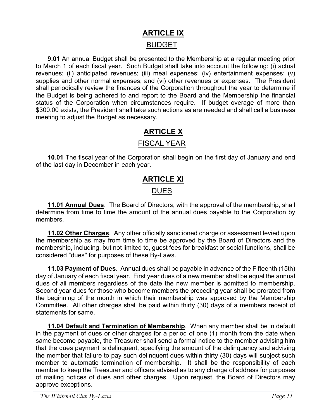## **ARTICLE IX** BUDGET

**9.01** An annual Budget shall be presented to the Membership at a regular meeting prior to March 1 of each fiscal year. Such Budget shall take into account the following: (i) actual revenues; (ii) anticipated revenues; (iii) meal expenses; (iv) entertainment expenses; (v) supplies and other normal expenses; and (vi) other revenues or expenses. The President shall periodically review the finances of the Corporation throughout the year to determine if the Budget is being adhered to and report to the Board and the Membership the financial status of the Corporation when circumstances require. If budget overage of more than \$300.00 exists, the President shall take such actions as are needed and shall call a business meeting to adjust the Budget as necessary.

## **ARTICLE X**

## FISCAL YEAR

**10.01** The fiscal year of the Corporation shall begin on the first day of January and end of the last day in December in each year.

# **ARTICLE XI**

## **DUES**

**11.01 Annual Dues**. The Board of Directors, with the approval of the membership, shall determine from time to time the amount of the annual dues payable to the Corporation by members.

**11.02 Other Charges**. Any other officially sanctioned charge or assessment levied upon the membership as may from time to time be approved by the Board of Directors and the membership, including, but not limited to, guest fees for breakfast or social functions, shall be considered "dues" for purposes of these By-Laws.

**11.03 Payment of Dues**. Annual dues shall be payable in advance of the Fifteenth (15th) day of January of each fiscal year. First year dues of a new member shall be equal the annual dues of all members regardless of the date the new member is admitted to membership. Second year dues for those who become members the preceding year shall be prorated from the beginning of the month in which their membership was approved by the Membership Committee. All other charges shall be paid within thirty (30) days of a members receipt of statements for same.

**11.04 Default and Termination of Membership**. When any member shall be in default in the payment of dues or other charges for a period of one (1) month from the date when same become payable, the Treasurer shall send a formal notice to the member advising him that the dues payment is delinquent, specifying the amount of the delinquency and advising the member that failure to pay such delinquent dues within thirty (30) days will subject such member to automatic termination of membership. It shall be the responsibility of each member to keep the Treasurer and officers advised as to any change of address for purposes of mailing notices of dues and other charges. Upon request, the Board of Directors may approve exceptions.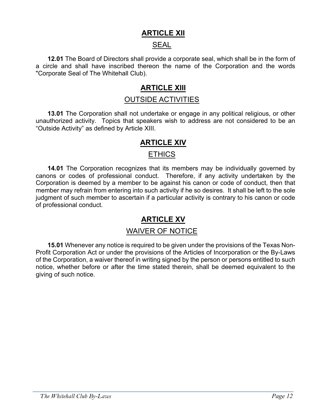## **ARTICLE XII**

## SEAL

**12.01** The Board of Directors shall provide a corporate seal, which shall be in the form of a circle and shall have inscribed thereon the name of the Corporation and the words "Corporate Seal of The Whitehall Club).

## **ARTICLE XIII**

## OUTSIDE ACTIVITIES

**13.01** The Corporation shall not undertake or engage in any political religious, or other unauthorized activity. Topics that speakers wish to address are not considered to be an "Outside Activity" as defined by Article XIII.

## **ARTICLE XIV**

### **ETHICS**

**14.01** The Corporation recognizes that its members may be individually governed by canons or codes of professional conduct. Therefore, if any activity undertaken by the Corporation is deemed by a member to be against his canon or code of conduct, then that member may refrain from entering into such activity if he so desires. It shall be left to the sole judgment of such member to ascertain if a particular activity is contrary to his canon or code of professional conduct.

## **ARTICLE XV**

### WAIVER OF NOTICE

**15.01** Whenever any notice is required to be given under the provisions of the Texas Non-Profit Corporation Act or under the provisions of the Articles of Incorporation or the By-Laws of the Corporation, a waiver thereof in writing signed by the person or persons entitled to such notice, whether before or after the time stated therein, shall be deemed equivalent to the giving of such notice.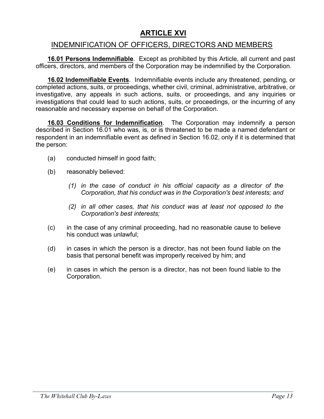## **ARTICLE XVI**

## INDEMNIFICATION OF OFFICERS, DIRECTORS AND MEMBERS

**16.01 Persons Indemnifiable**. Except as prohibited by this Article, all current and past officers, directors, and members of the Corporation may be indemnified by the Corporation.

**16.02 Indemnifiable Events**. Indemnifiable events include any threatened, pending, or completed actions, suits, or proceedings, whether civil, criminal, administrative, arbitrative, or investigative, any appeals in such actions, suits, or proceedings, and any inquiries or investigations that could lead to such actions, suits, or proceedings, or the incurring of any reasonable and necessary expense on behalf of the Corporation.

**16.03 Conditions for Indemnification**. The Corporation may indemnify a person described in Section 16.01 who was, is, or is threatened to be made a named defendant or respondent in an indemnifiable event as defined in Section 16.02, only if it is determined that the person:

- (a) conducted himself in good faith;
- (b) reasonably believed:
	- *(1) in the case of conduct in his official capacity as a director of the Corporation, that his conduct was in the Corporation's best interests; and*
	- *(2) in all other cases, that his conduct was at least not opposed to the Corporation's best interests;*
- (c) in the case of any criminal proceeding, had no reasonable cause to believe his conduct was unlawful;
- (d) in cases in which the person is a director, has not been found liable on the basis that personal benefit was improperly received by him; and
- (e) in cases in which the person is a director, has not been found liable to the Corporation.